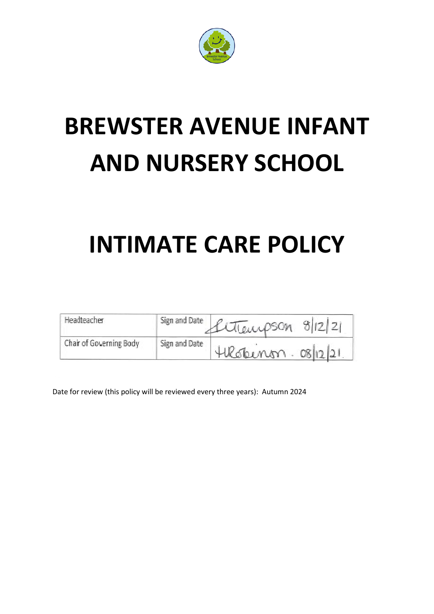

# **BREWSTER AVENUE INFANT AND NURSERY SCHOOL**

## **INTIMATE CARE POLICY**

| Headteacher             |               | Sign and Date Cuttemps Cn 8/12/21 |
|-------------------------|---------------|-----------------------------------|
| Chair of Governing Body | Sign and Date | 4 Robinon. 08/12/21               |

Date for review (this policy will be reviewed every three years): Autumn 2024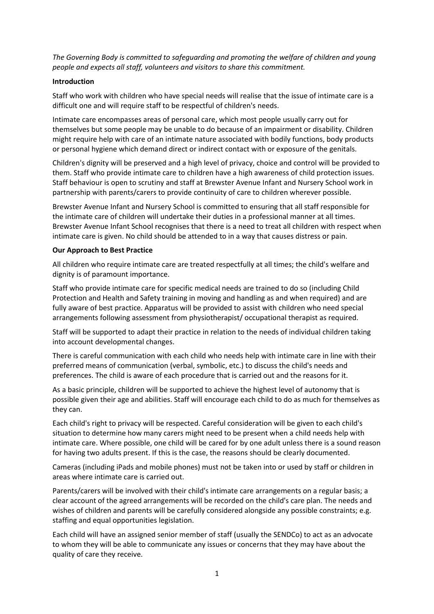*The Governing Body is committed to safeguarding and promoting the welfare of children and young people and expects all staff, volunteers and visitors to share this commitment.* 

#### **Introduction**

Staff who work with children who have special needs will realise that the issue of intimate care is a difficult one and will require staff to be respectful of children's needs.

Intimate care encompasses areas of personal care, which most people usually carry out for themselves but some people may be unable to do because of an impairment or disability. Children might require help with care of an intimate nature associated with bodily functions, body products or personal hygiene which demand direct or indirect contact with or exposure of the genitals.

Children's dignity will be preserved and a high level of privacy, choice and control will be provided to them. Staff who provide intimate care to children have a high awareness of child protection issues. Staff behaviour is open to scrutiny and staff at Brewster Avenue Infant and Nursery School work in partnership with parents/carers to provide continuity of care to children wherever possible.

Brewster Avenue Infant and Nursery School is committed to ensuring that all staff responsible for the intimate care of children will undertake their duties in a professional manner at all times. Brewster Avenue Infant School recognises that there is a need to treat all children with respect when intimate care is given. No child should be attended to in a way that causes distress or pain.

#### **Our Approach to Best Practice**

All children who require intimate care are treated respectfully at all times; the child's welfare and dignity is of paramount importance.

Staff who provide intimate care for specific medical needs are trained to do so (including Child Protection and Health and Safety training in moving and handling as and when required) and are fully aware of best practice. Apparatus will be provided to assist with children who need special arrangements following assessment from physiotherapist/ occupational therapist as required.

Staff will be supported to adapt their practice in relation to the needs of individual children taking into account developmental changes.

There is careful communication with each child who needs help with intimate care in line with their preferred means of communication (verbal, symbolic, etc.) to discuss the child's needs and preferences. The child is aware of each procedure that is carried out and the reasons for it.

As a basic principle, children will be supported to achieve the highest level of autonomy that is possible given their age and abilities. Staff will encourage each child to do as much for themselves as they can.

Each child's right to privacy will be respected. Careful consideration will be given to each child's situation to determine how many carers might need to be present when a child needs help with intimate care. Where possible, one child will be cared for by one adult unless there is a sound reason for having two adults present. If this is the case, the reasons should be clearly documented.

Cameras (including iPads and mobile phones) must not be taken into or used by staff or children in areas where intimate care is carried out.

Parents/carers will be involved with their child's intimate care arrangements on a regular basis; a clear account of the agreed arrangements will be recorded on the child's care plan. The needs and wishes of children and parents will be carefully considered alongside any possible constraints; e.g. staffing and equal opportunities legislation.

Each child will have an assigned senior member of staff (usually the SENDCo) to act as an advocate to whom they will be able to communicate any issues or concerns that they may have about the quality of care they receive.